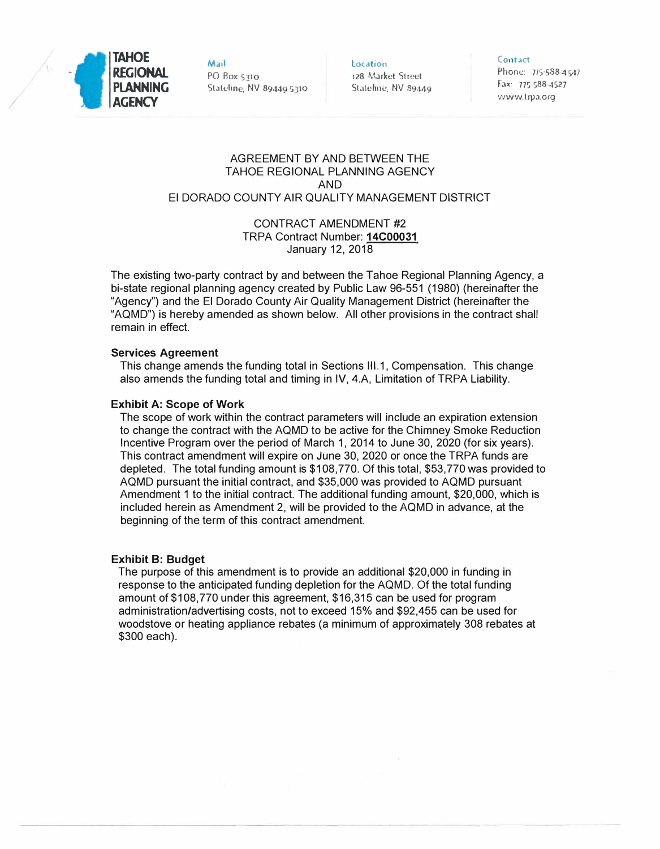

/

**Mail**  PO Box 5 <sup>1</sup>**1**  Stateline, NV 89449 5310 **Location** 128 Mar�cl Street Stateline, NV 89449

**Contact**  Phone: 775-588 4547 fox: 775 588 4527 www.lrpa.org

## AGREEMENT BY AND BETWEEN THE TAHOE REGIONAL PLANNING AGENCY AND El DORADO COUNTY AIR QUALITY MANAGEMENT DISTRICT

## CONTRACT AMENDMENT #2 TRPA Contract Number: **14C00031**  January 12, 2018

The existing two-party contract by and between the Tahoe Regional Planning Agency, a bi-state regional planning agency created by Public Law 96-551 (1980) (hereinafter the "Agency") and the El Dorado County Air Quality Management District (hereinafter the "AQMD") is hereby amended as shown below. All other provisions in the contract shall remain in effect.

### **Services Agreement**

This change amends the funding total in Sections 111.1, Compensation. This change also amends the funding total and timing in IV, 4.A, Limitation of TRPA Liability.

### **Exhibit A: Scope of Work**

The scope of work within the contract parameters will include an expiration extension to change the contract with the AQMD to be active for the Chimney Smoke Reduction Incentive Program over the period of March 1, 2014 to June 30, 2020 (for six years). This contract amendment will expire on June 30, 2020 or once the TRPA funds are depleted. The total funding amount is \$108,770. Of this total, \$53,770 was provided to AQMD pursuant the initial contract, and \$35,000 was provided to AQMD pursuant Amendment 1 to the initial contract. The additional funding amount, \$20,000, which is included herein as Amendment 2, will be provided to the AQMD in advance, at the beginning of the term of this contract amendment.

#### **Exhibit 8: Budget**

The purpose of this amendment is to provide an additional \$20,000 in funding in response to the anticipated funding depletion for the AQMD. Of the total funding amount of \$108,770 under this agreement, \$16,315 can be used for program administration/advertising costs, not to exceed 15% and \$92,455 can be used for woodstove or heating appliance rebates (a minimum of approximately 308 rebates at \$300 each).